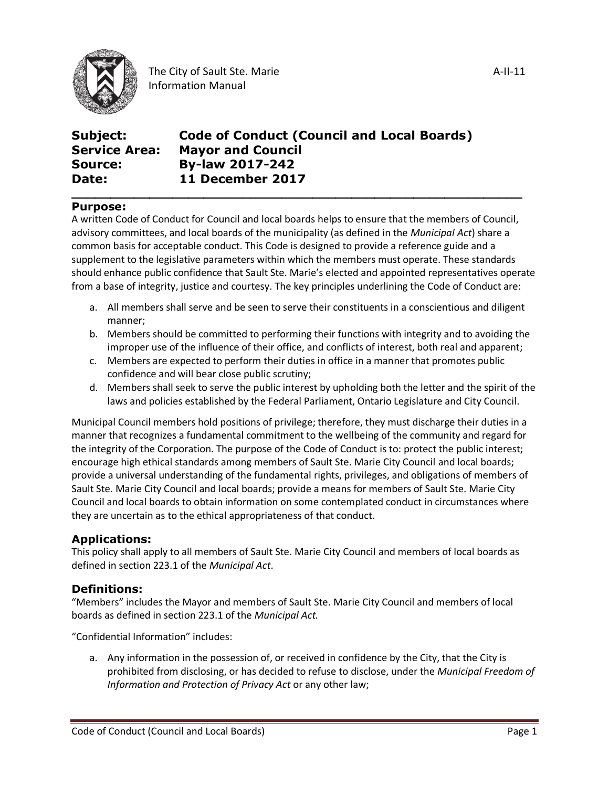

| Subject:             | <b>Code of Conduct (Council and Local Boards)</b> |
|----------------------|---------------------------------------------------|
| <b>Service Area:</b> | <b>Mayor and Council</b>                          |
| <b>Source:</b>       | <b>By-law 2017-242</b>                            |
| Date:                | <b>11 December 2017</b>                           |

#### **Purpose:**

A written Code of Conduct for Council and local boards helps to ensure that the members of Council, advisory committees, and local boards of the municipality (as defined in the *Municipal Act*) share a common basis for acceptable conduct. This Code is designed to provide a reference guide and a supplement to the legislative parameters within which the members must operate. These standards should enhance public confidence that Sault Ste. Marie's elected and appointed representatives operate from a base of integrity, justice and courtesy. The key principles underlining the Code of Conduct are:

**\_\_\_\_\_\_\_\_\_\_\_\_\_\_\_\_\_\_\_\_\_\_\_\_\_\_\_\_\_\_\_\_\_\_\_\_\_\_\_\_\_\_\_\_\_\_\_\_\_\_\_\_\_\_\_\_\_\_**

- a. All members shall serve and be seen to serve their constituents in a conscientious and diligent manner;
- b. Members should be committed to performing their functions with integrity and to avoiding the improper use of the influence of their office, and conflicts of interest, both real and apparent;
- c. Members are expected to perform their duties in office in a manner that promotes public confidence and will bear close public scrutiny;
- d. Members shall seek to serve the public interest by upholding both the letter and the spirit of the laws and policies established by the Federal Parliament, Ontario Legislature and City Council.

Municipal Council members hold positions of privilege; therefore, they must discharge their duties in a manner that recognizes a fundamental commitment to the wellbeing of the community and regard for the integrity of the Corporation. The purpose of the Code of Conduct is to: protect the public interest; encourage high ethical standards among members of Sault Ste. Marie City Council and local boards; provide a universal understanding of the fundamental rights, privileges, and obligations of members of Sault Ste. Marie City Council and local boards; provide a means for members of Sault Ste. Marie City Council and local boards to obtain information on some contemplated conduct in circumstances where they are uncertain as to the ethical appropriateness of that conduct.

#### **Applications:**

This policy shall apply to all members of Sault Ste. Marie City Council and members of local boards as defined in section 223.1 of the *Municipal Act*.

### **Definitions:**

"Members" includes the Mayor and members of Sault Ste. Marie City Council and members of local boards as defined in section 223.1 of the *Municipal Act.*

"Confidential Information" includes:

a. Any information in the possession of, or received in confidence by the City, that the City is prohibited from disclosing, or has decided to refuse to disclose, under the *Municipal Freedom of Information and Protection of Privacy Act* or any other law;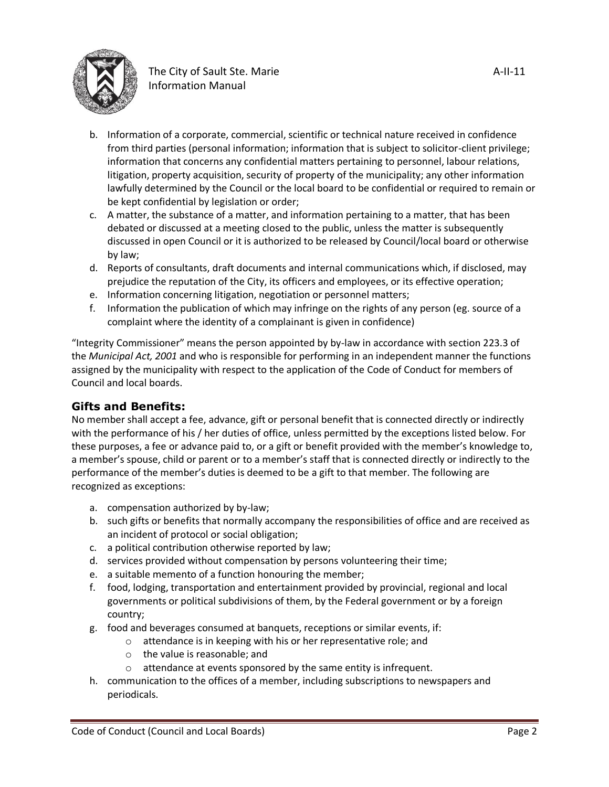

- b. Information of a corporate, commercial, scientific or technical nature received in confidence from third parties (personal information; information that is subject to solicitor-client privilege; information that concerns any confidential matters pertaining to personnel, labour relations, litigation, property acquisition, security of property of the municipality; any other information lawfully determined by the Council or the local board to be confidential or required to remain or be kept confidential by legislation or order;
- c. A matter, the substance of a matter, and information pertaining to a matter, that has been debated or discussed at a meeting closed to the public, unless the matter is subsequently discussed in open Council or it is authorized to be released by Council/local board or otherwise by law;
- d. Reports of consultants, draft documents and internal communications which, if disclosed, may prejudice the reputation of the City, its officers and employees, or its effective operation;
- e. Information concerning litigation, negotiation or personnel matters;
- f. Information the publication of which may infringe on the rights of any person (eg. source of a complaint where the identity of a complainant is given in confidence)

"Integrity Commissioner" means the person appointed by by-law in accordance with section 223.3 of the *Municipal Act, 2001* and who is responsible for performing in an independent manner the functions assigned by the municipality with respect to the application of the Code of Conduct for members of Council and local boards.

### **Gifts and Benefits:**

No member shall accept a fee, advance, gift or personal benefit that is connected directly or indirectly with the performance of his / her duties of office, unless permitted by the exceptions listed below. For these purposes, a fee or advance paid to, or a gift or benefit provided with the member's knowledge to, a member's spouse, child or parent or to a member's staff that is connected directly or indirectly to the performance of the member's duties is deemed to be a gift to that member. The following are recognized as exceptions:

- a. compensation authorized by by-law;
- b. such gifts or benefits that normally accompany the responsibilities of office and are received as an incident of protocol or social obligation;
- c. a political contribution otherwise reported by law;
- d. services provided without compensation by persons volunteering their time;
- e. a suitable memento of a function honouring the member;
- f. food, lodging, transportation and entertainment provided by provincial, regional and local governments or political subdivisions of them, by the Federal government or by a foreign country;
- g. food and beverages consumed at banquets, receptions or similar events, if:
	- o attendance is in keeping with his or her representative role; and
	- o the value is reasonable; and
	- o attendance at events sponsored by the same entity is infrequent.
- h. communication to the offices of a member, including subscriptions to newspapers and periodicals.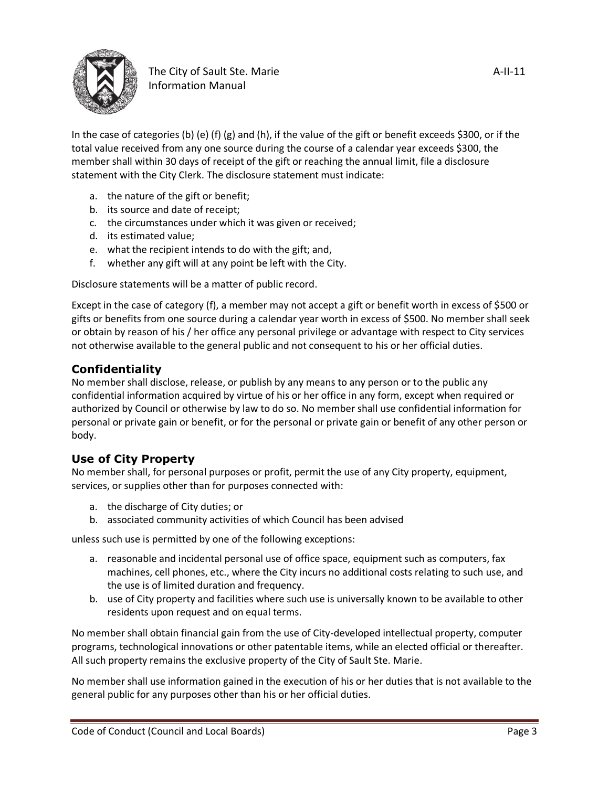

In the case of categories (b) (e) (f) (g) and (h), if the value of the gift or benefit exceeds \$300, or if the total value received from any one source during the course of a calendar year exceeds \$300, the member shall within 30 days of receipt of the gift or reaching the annual limit, file a disclosure statement with the City Clerk. The disclosure statement must indicate:

- a. the nature of the gift or benefit;
- b. its source and date of receipt;
- c. the circumstances under which it was given or received;
- d. its estimated value;
- e. what the recipient intends to do with the gift; and,
- f. whether any gift will at any point be left with the City.

Disclosure statements will be a matter of public record.

Except in the case of category (f), a member may not accept a gift or benefit worth in excess of \$500 or gifts or benefits from one source during a calendar year worth in excess of \$500. No member shall seek or obtain by reason of his / her office any personal privilege or advantage with respect to City services not otherwise available to the general public and not consequent to his or her official duties.

### **Confidentiality**

No member shall disclose, release, or publish by any means to any person or to the public any confidential information acquired by virtue of his or her office in any form, except when required or authorized by Council or otherwise by law to do so. No member shall use confidential information for personal or private gain or benefit, or for the personal or private gain or benefit of any other person or body.

### **Use of City Property**

No member shall, for personal purposes or profit, permit the use of any City property, equipment, services, or supplies other than for purposes connected with:

- a. the discharge of City duties; or
- b. associated community activities of which Council has been advised

unless such use is permitted by one of the following exceptions:

- a. reasonable and incidental personal use of office space, equipment such as computers, fax machines, cell phones, etc., where the City incurs no additional costs relating to such use, and the use is of limited duration and frequency.
- b. use of City property and facilities where such use is universally known to be available to other residents upon request and on equal terms.

No member shall obtain financial gain from the use of City-developed intellectual property, computer programs, technological innovations or other patentable items, while an elected official or thereafter. All such property remains the exclusive property of the City of Sault Ste. Marie.

No member shall use information gained in the execution of his or her duties that is not available to the general public for any purposes other than his or her official duties.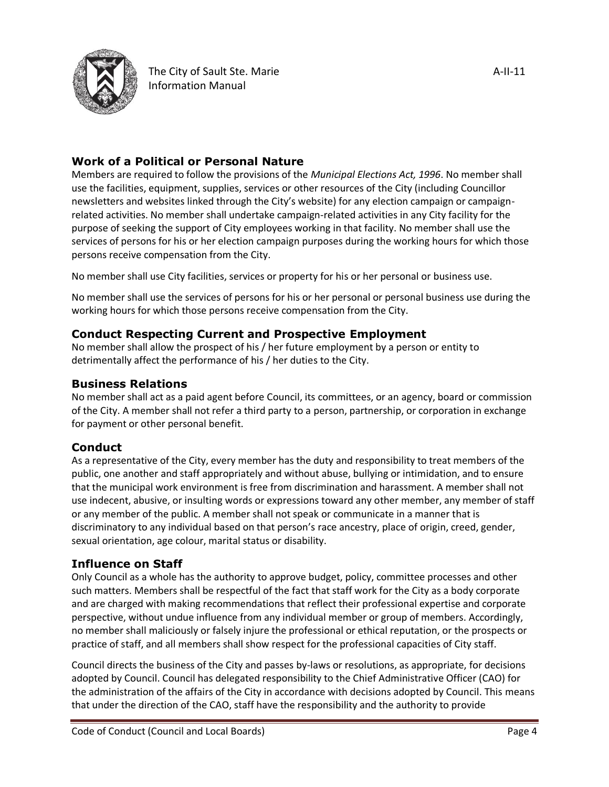

## **Work of a Political or Personal Nature**

Members are required to follow the provisions of the *Municipal Elections Act, 1996*. No member shall use the facilities, equipment, supplies, services or other resources of the City (including Councillor newsletters and websites linked through the City's website) for any election campaign or campaignrelated activities. No member shall undertake campaign-related activities in any City facility for the purpose of seeking the support of City employees working in that facility. No member shall use the services of persons for his or her election campaign purposes during the working hours for which those persons receive compensation from the City.

No member shall use City facilities, services or property for his or her personal or business use.

No member shall use the services of persons for his or her personal or personal business use during the working hours for which those persons receive compensation from the City.

### **Conduct Respecting Current and Prospective Employment**

No member shall allow the prospect of his / her future employment by a person or entity to detrimentally affect the performance of his / her duties to the City.

### **Business Relations**

No member shall act as a paid agent before Council, its committees, or an agency, board or commission of the City. A member shall not refer a third party to a person, partnership, or corporation in exchange for payment or other personal benefit.

### **Conduct**

As a representative of the City, every member has the duty and responsibility to treat members of the public, one another and staff appropriately and without abuse, bullying or intimidation, and to ensure that the municipal work environment is free from discrimination and harassment. A member shall not use indecent, abusive, or insulting words or expressions toward any other member, any member of staff or any member of the public. A member shall not speak or communicate in a manner that is discriminatory to any individual based on that person's race ancestry, place of origin, creed, gender, sexual orientation, age colour, marital status or disability.

### **Influence on Staff**

Only Council as a whole has the authority to approve budget, policy, committee processes and other such matters. Members shall be respectful of the fact that staff work for the City as a body corporate and are charged with making recommendations that reflect their professional expertise and corporate perspective, without undue influence from any individual member or group of members. Accordingly, no member shall maliciously or falsely injure the professional or ethical reputation, or the prospects or practice of staff, and all members shall show respect for the professional capacities of City staff.

Council directs the business of the City and passes by-laws or resolutions, as appropriate, for decisions adopted by Council. Council has delegated responsibility to the Chief Administrative Officer (CAO) for the administration of the affairs of the City in accordance with decisions adopted by Council. This means that under the direction of the CAO, staff have the responsibility and the authority to provide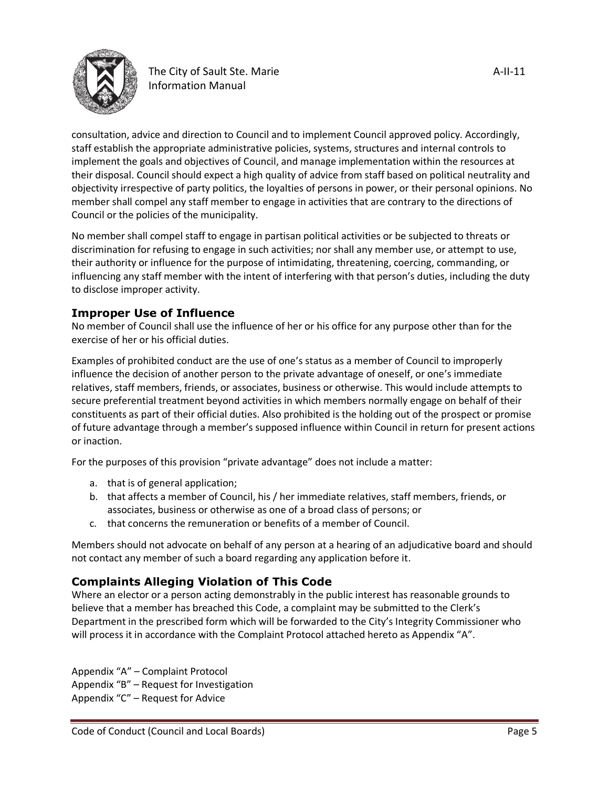

consultation, advice and direction to Council and to implement Council approved policy. Accordingly, staff establish the appropriate administrative policies, systems, structures and internal controls to implement the goals and objectives of Council, and manage implementation within the resources at their disposal. Council should expect a high quality of advice from staff based on political neutrality and objectivity irrespective of party politics, the loyalties of persons in power, or their personal opinions. No member shall compel any staff member to engage in activities that are contrary to the directions of Council or the policies of the municipality.

No member shall compel staff to engage in partisan political activities or be subjected to threats or discrimination for refusing to engage in such activities; nor shall any member use, or attempt to use, their authority or influence for the purpose of intimidating, threatening, coercing, commanding, or influencing any staff member with the intent of interfering with that person's duties, including the duty to disclose improper activity.

### **Improper Use of Influence**

No member of Council shall use the influence of her or his office for any purpose other than for the exercise of her or his official duties.

Examples of prohibited conduct are the use of one's status as a member of Council to improperly influence the decision of another person to the private advantage of oneself, or one's immediate relatives, staff members, friends, or associates, business or otherwise. This would include attempts to secure preferential treatment beyond activities in which members normally engage on behalf of their constituents as part of their official duties. Also prohibited is the holding out of the prospect or promise of future advantage through a member's supposed influence within Council in return for present actions or inaction.

For the purposes of this provision "private advantage" does not include a matter:

- a. that is of general application;
- b. that affects a member of Council, his / her immediate relatives, staff members, friends, or associates, business or otherwise as one of a broad class of persons; or
- c. that concerns the remuneration or benefits of a member of Council.

Members should not advocate on behalf of any person at a hearing of an adjudicative board and should not contact any member of such a board regarding any application before it.

# **Complaints Alleging Violation of This Code**

Where an elector or a person acting demonstrably in the public interest has reasonable grounds to believe that a member has breached this Code, a complaint may be submitted to the Clerk's Department in the prescribed form which will be forwarded to the City's Integrity Commissioner who will process it in accordance with the Complaint Protocol attached hereto as Appendix "A".

Appendix "A" – Complaint Protocol Appendix "B" – Request for Investigation Appendix "C" – Request for Advice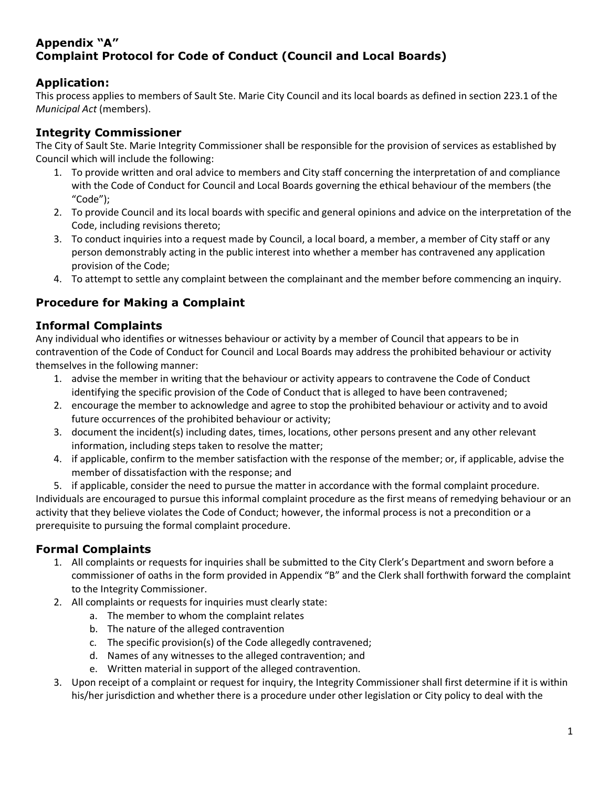## **Appendix "A" Complaint Protocol for Code of Conduct (Council and Local Boards)**

### **Application:**

This process applies to members of Sault Ste. Marie City Council and its local boards as defined in section 223.1 of the *Municipal Act* (members).

### **Integrity Commissioner**

The City of Sault Ste. Marie Integrity Commissioner shall be responsible for the provision of services as established by Council which will include the following:

- 1. To provide written and oral advice to members and City staff concerning the interpretation of and compliance with the Code of Conduct for Council and Local Boards governing the ethical behaviour of the members (the "Code");
- 2. To provide Council and its local boards with specific and general opinions and advice on the interpretation of the Code, including revisions thereto;
- 3. To conduct inquiries into a request made by Council, a local board, a member, a member of City staff or any person demonstrably acting in the public interest into whether a member has contravened any application provision of the Code;
- 4. To attempt to settle any complaint between the complainant and the member before commencing an inquiry.

# **Procedure for Making a Complaint**

### **Informal Complaints**

Any individual who identifies or witnesses behaviour or activity by a member of Council that appears to be in contravention of the Code of Conduct for Council and Local Boards may address the prohibited behaviour or activity themselves in the following manner:

- 1. advise the member in writing that the behaviour or activity appears to contravene the Code of Conduct identifying the specific provision of the Code of Conduct that is alleged to have been contravened;
- 2. encourage the member to acknowledge and agree to stop the prohibited behaviour or activity and to avoid future occurrences of the prohibited behaviour or activity;
- 3. document the incident(s) including dates, times, locations, other persons present and any other relevant information, including steps taken to resolve the matter;
- 4. if applicable, confirm to the member satisfaction with the response of the member; or, if applicable, advise the member of dissatisfaction with the response; and

5. if applicable, consider the need to pursue the matter in accordance with the formal complaint procedure. Individuals are encouraged to pursue this informal complaint procedure as the first means of remedying behaviour or an activity that they believe violates the Code of Conduct; however, the informal process is not a precondition or a prerequisite to pursuing the formal complaint procedure.

# **Formal Complaints**

- 1. All complaints or requests for inquiries shall be submitted to the City Clerk's Department and sworn before a commissioner of oaths in the form provided in Appendix "B" and the Clerk shall forthwith forward the complaint to the Integrity Commissioner.
- 2. All complaints or requests for inquiries must clearly state:
	- a. The member to whom the complaint relates
	- b. The nature of the alleged contravention
	- c. The specific provision(s) of the Code allegedly contravened;
	- d. Names of any witnesses to the alleged contravention; and
	- e. Written material in support of the alleged contravention.
- 3. Upon receipt of a complaint or request for inquiry, the Integrity Commissioner shall first determine if it is within his/her jurisdiction and whether there is a procedure under other legislation or City policy to deal with the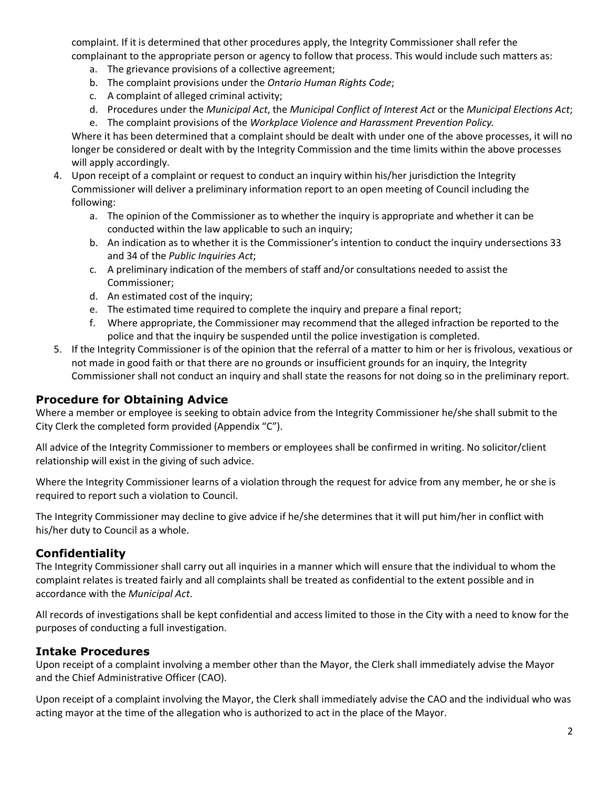complaint. If it is determined that other procedures apply, the Integrity Commissioner shall refer the complainant to the appropriate person or agency to follow that process. This would include such matters as:

- a. The grievance provisions of a collective agreement;
- b. The complaint provisions under the *Ontario Human Rights Code*;
- c. A complaint of alleged criminal activity;
- d. Procedures under the *Municipal Act*, the *Municipal Conflict of Interest Act* or the *Municipal Elections Act*;
- e. The complaint provisions of the *Workplace Violence and Harassment Prevention Policy.*

Where it has been determined that a complaint should be dealt with under one of the above processes, it will no longer be considered or dealt with by the Integrity Commission and the time limits within the above processes will apply accordingly.

- 4. Upon receipt of a complaint or request to conduct an inquiry within his/her jurisdiction the Integrity Commissioner will deliver a preliminary information report to an open meeting of Council including the following:
	- a. The opinion of the Commissioner as to whether the inquiry is appropriate and whether it can be conducted within the law applicable to such an inquiry;
	- b. An indication as to whether it is the Commissioner's intention to conduct the inquiry undersections 33 and 34 of the *Public Inquiries Act*;
	- c. A preliminary indication of the members of staff and/or consultations needed to assist the Commissioner;
	- d. An estimated cost of the inquiry;
	- e. The estimated time required to complete the inquiry and prepare a final report;
	- f. Where appropriate, the Commissioner may recommend that the alleged infraction be reported to the police and that the inquiry be suspended until the police investigation is completed.
- 5. If the Integrity Commissioner is of the opinion that the referral of a matter to him or her is frivolous, vexatious or not made in good faith or that there are no grounds or insufficient grounds for an inquiry, the Integrity Commissioner shall not conduct an inquiry and shall state the reasons for not doing so in the preliminary report.

### **Procedure for Obtaining Advice**

Where a member or employee is seeking to obtain advice from the Integrity Commissioner he/she shall submit to the City Clerk the completed form provided (Appendix "C").

All advice of the Integrity Commissioner to members or employees shall be confirmed in writing. No solicitor/client relationship will exist in the giving of such advice.

Where the Integrity Commissioner learns of a violation through the request for advice from any member, he or she is required to report such a violation to Council.

The Integrity Commissioner may decline to give advice if he/she determines that it will put him/her in conflict with his/her duty to Council as a whole.

### **Confidentiality**

The Integrity Commissioner shall carry out all inquiries in a manner which will ensure that the individual to whom the complaint relates is treated fairly and all complaints shall be treated as confidential to the extent possible and in accordance with the *Municipal Act*.

All records of investigations shall be kept confidential and access limited to those in the City with a need to know for the purposes of conducting a full investigation.

### **Intake Procedures**

Upon receipt of a complaint involving a member other than the Mayor, the Clerk shall immediately advise the Mayor and the Chief Administrative Officer (CAO).

Upon receipt of a complaint involving the Mayor, the Clerk shall immediately advise the CAO and the individual who was acting mayor at the time of the allegation who is authorized to act in the place of the Mayor.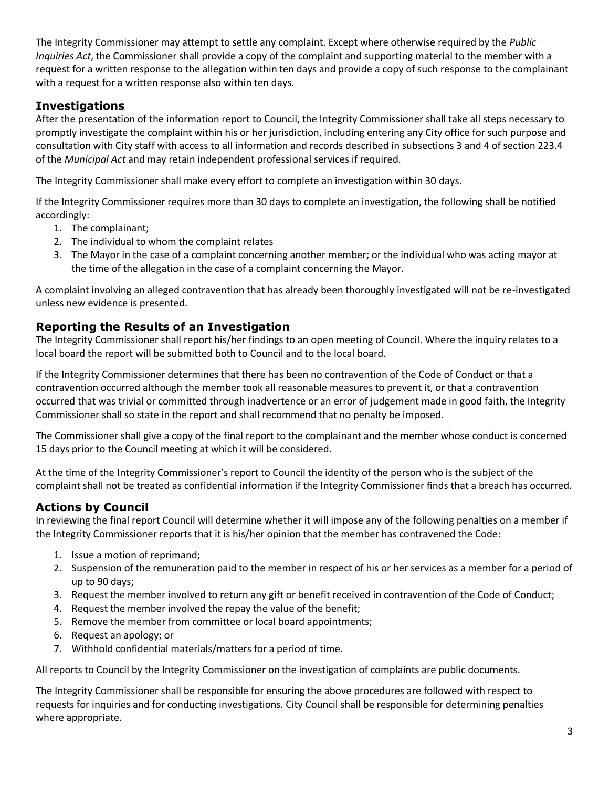The Integrity Commissioner may attempt to settle any complaint. Except where otherwise required by the *Public Inquiries Act*, the Commissioner shall provide a copy of the complaint and supporting material to the member with a request for a written response to the allegation within ten days and provide a copy of such response to the complainant with a request for a written response also within ten days.

# **Investigations**

After the presentation of the information report to Council, the Integrity Commissioner shall take all steps necessary to promptly investigate the complaint within his or her jurisdiction, including entering any City office for such purpose and consultation with City staff with access to all information and records described in subsections 3 and 4 of section 223.4 of the *Municipal Act* and may retain independent professional services if required.

The Integrity Commissioner shall make every effort to complete an investigation within 30 days.

If the Integrity Commissioner requires more than 30 days to complete an investigation, the following shall be notified accordingly:

- 1. The complainant;
- 2. The individual to whom the complaint relates
- 3. The Mayor in the case of a complaint concerning another member; or the individual who was acting mayor at the time of the allegation in the case of a complaint concerning the Mayor.

A complaint involving an alleged contravention that has already been thoroughly investigated will not be re-investigated unless new evidence is presented.

### **Reporting the Results of an Investigation**

The Integrity Commissioner shall report his/her findings to an open meeting of Council. Where the inquiry relates to a local board the report will be submitted both to Council and to the local board.

If the Integrity Commissioner determines that there has been no contravention of the Code of Conduct or that a contravention occurred although the member took all reasonable measures to prevent it, or that a contravention occurred that was trivial or committed through inadvertence or an error of judgement made in good faith, the Integrity Commissioner shall so state in the report and shall recommend that no penalty be imposed.

The Commissioner shall give a copy of the final report to the complainant and the member whose conduct is concerned 15 days prior to the Council meeting at which it will be considered.

At the time of the Integrity Commissioner's report to Council the identity of the person who is the subject of the complaint shall not be treated as confidential information if the Integrity Commissioner finds that a breach has occurred.

### **Actions by Council**

In reviewing the final report Council will determine whether it will impose any of the following penalties on a member if the Integrity Commissioner reports that it is his/her opinion that the member has contravened the Code:

- 1. Issue a motion of reprimand;
- 2. Suspension of the remuneration paid to the member in respect of his or her services as a member for a period of up to 90 days;
- 3. Request the member involved to return any gift or benefit received in contravention of the Code of Conduct;
- 4. Request the member involved the repay the value of the benefit;
- 5. Remove the member from committee or local board appointments;
- 6. Request an apology; or
- 7. Withhold confidential materials/matters for a period of time.

All reports to Council by the Integrity Commissioner on the investigation of complaints are public documents.

The Integrity Commissioner shall be responsible for ensuring the above procedures are followed with respect to requests for inquiries and for conducting investigations. City Council shall be responsible for determining penalties where appropriate.